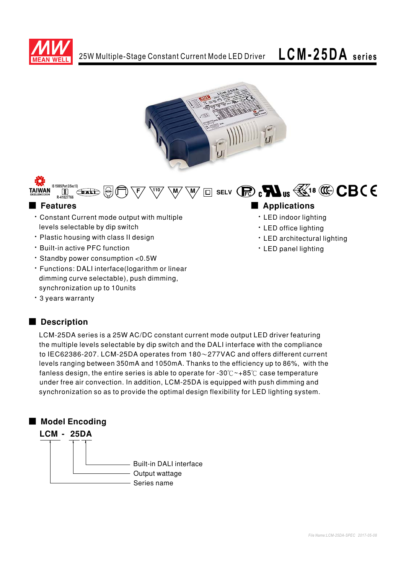





# ■ Features ■ Ap

- \* Constant Current mode output with multiple levels selectable by dip switch
- $\cdot$  Plastic housing with class II design
- Built-in active PFC function
- $\cdot$  Standby power consumption < 0.5 W
- Functions: DALI interface(logarithm or linear dimming curve selectable), push dimming, synchronization up to 10units
- . 3 years warranty

## ■ Description

LCM-25DA series is a 25W AC/DC constant current mode output LED driver featuring the multiple levels selectable by dip switch and the DALI interface with the compliance to IEC62386-207. LCM-25DA operates from  $180 \sim 277$ VAC and offers different current levels ranging between  $350$ mA and  $1050$ mA. Thanks to the efficiency up to 86%, with the fanless design, the entire series is able to operate for -30° $C \sim +85^\circ C$  case temperature under free air convection. In addition, LCM-25DA is equipped with push dimming and synchronization so as to provide the optimal design flexibility for LED lighting system.

## ■ Model Encoding



# 

- LED indoor lighting
- · LED office lighting
- LED architectural lighting
- . LED panel lighting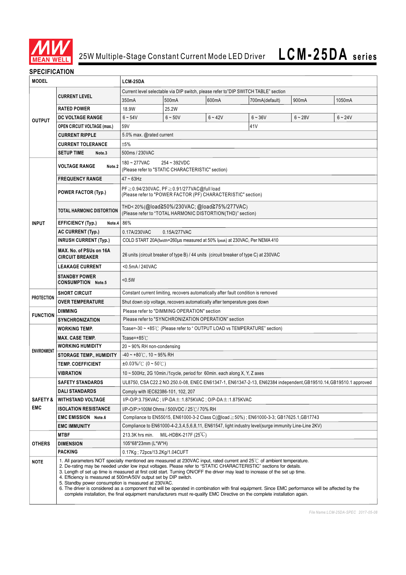

### **SPECIFICATION**

| <b>MODEL</b>                      |                                                                                                                                                                                                                                                                                                                                                                                                                                                                                                                                                                                                                                                                                                                                                                                              | LCM-25DA                                                                                                         |           |           |                |           |           |  |  |  |
|-----------------------------------|----------------------------------------------------------------------------------------------------------------------------------------------------------------------------------------------------------------------------------------------------------------------------------------------------------------------------------------------------------------------------------------------------------------------------------------------------------------------------------------------------------------------------------------------------------------------------------------------------------------------------------------------------------------------------------------------------------------------------------------------------------------------------------------------|------------------------------------------------------------------------------------------------------------------|-----------|-----------|----------------|-----------|-----------|--|--|--|
|                                   |                                                                                                                                                                                                                                                                                                                                                                                                                                                                                                                                                                                                                                                                                                                                                                                              | Current level selectable via DIP switch, please refer to"DIP SWITCH TABLE" section                               |           |           |                |           |           |  |  |  |
| <b>OUTPUT</b>                     | <b>CURRENT LEVEL</b>                                                                                                                                                                                                                                                                                                                                                                                                                                                                                                                                                                                                                                                                                                                                                                         | 350mA                                                                                                            | 500mA     | 600mA     | 700mA(default) | 900mA     | 1050mA    |  |  |  |
|                                   | <b>RATED POWER</b>                                                                                                                                                                                                                                                                                                                                                                                                                                                                                                                                                                                                                                                                                                                                                                           | 18.9W                                                                                                            | 25.2W     |           |                |           |           |  |  |  |
|                                   | DC VOLTAGE RANGE                                                                                                                                                                                                                                                                                                                                                                                                                                                                                                                                                                                                                                                                                                                                                                             | $6 - 54V$                                                                                                        | $6 - 50V$ | $6 - 42V$ | $6 - 36V$      | $6 - 28V$ | $6 - 24V$ |  |  |  |
|                                   | <b>OPEN CIRCUIT VOLTAGE (max.)</b>                                                                                                                                                                                                                                                                                                                                                                                                                                                                                                                                                                                                                                                                                                                                                           | 59V                                                                                                              |           |           | 41V            |           |           |  |  |  |
|                                   | <b>CURRENT RIPPLE</b>                                                                                                                                                                                                                                                                                                                                                                                                                                                                                                                                                                                                                                                                                                                                                                        | 5.0% max. @rated current                                                                                         |           |           |                |           |           |  |  |  |
|                                   | <b>CURRENT TOLERANCE</b>                                                                                                                                                                                                                                                                                                                                                                                                                                                                                                                                                                                                                                                                                                                                                                     | ±5%                                                                                                              |           |           |                |           |           |  |  |  |
|                                   | <b>SETUP TIME</b><br>Note.3                                                                                                                                                                                                                                                                                                                                                                                                                                                                                                                                                                                                                                                                                                                                                                  | 500ms / 230VAC                                                                                                   |           |           |                |           |           |  |  |  |
|                                   | <b>VOLTAGE RANGE</b><br>Note.2                                                                                                                                                                                                                                                                                                                                                                                                                                                                                                                                                                                                                                                                                                                                                               | 180~277VAC<br>254~392VDC<br>(Please refer to "STATIC CHARACTERISTIC" section)                                    |           |           |                |           |           |  |  |  |
| <b>INPUT</b>                      | <b>FREQUENCY RANGE</b>                                                                                                                                                                                                                                                                                                                                                                                                                                                                                                                                                                                                                                                                                                                                                                       | $47 - 63$ Hz                                                                                                     |           |           |                |           |           |  |  |  |
|                                   | <b>POWER FACTOR (Typ.)</b>                                                                                                                                                                                                                                                                                                                                                                                                                                                                                                                                                                                                                                                                                                                                                                   | PF≥0.94/230VAC, PF≥0.91/277VAC@full load<br>(Please refer to "POWER FACTOR (PF) CHARACTERISTIC" section)         |           |           |                |           |           |  |  |  |
|                                   | <b>TOTAL HARMONIC DISTORTION</b>                                                                                                                                                                                                                                                                                                                                                                                                                                                                                                                                                                                                                                                                                                                                                             | THD<20%(@load≧50%/230VAC; @load≧75%/277VAC)<br>(Please refer to "TOTAL HARMONIC DISTORTION(THD)" section)        |           |           |                |           |           |  |  |  |
|                                   | <b>EFFICIENCY (Typ.)</b><br>Note.4                                                                                                                                                                                                                                                                                                                                                                                                                                                                                                                                                                                                                                                                                                                                                           | 86%                                                                                                              |           |           |                |           |           |  |  |  |
|                                   | <b>AC CURRENT (Typ.)</b>                                                                                                                                                                                                                                                                                                                                                                                                                                                                                                                                                                                                                                                                                                                                                                     | 0.15A/277VAC<br>0.17A/230VAC                                                                                     |           |           |                |           |           |  |  |  |
|                                   | <b>INRUSH CURRENT (Typ.)</b>                                                                                                                                                                                                                                                                                                                                                                                                                                                                                                                                                                                                                                                                                                                                                                 | COLD START 20A(twidth=260µs measured at 50% Ipeak) at 230VAC; Per NEMA 410                                       |           |           |                |           |           |  |  |  |
|                                   | MAX. No. of PSUs on 16A<br><b>CIRCUIT BREAKER</b>                                                                                                                                                                                                                                                                                                                                                                                                                                                                                                                                                                                                                                                                                                                                            | 26 units (circuit breaker of type B) / 44 units (circuit breaker of type C) at 230VAC                            |           |           |                |           |           |  |  |  |
|                                   | <b>LEAKAGE CURRENT</b>                                                                                                                                                                                                                                                                                                                                                                                                                                                                                                                                                                                                                                                                                                                                                                       | <0.5mA / 240VAC                                                                                                  |           |           |                |           |           |  |  |  |
|                                   | <b>STANDBY POWER</b><br><b>CONSUMPTION Note.5</b>                                                                                                                                                                                                                                                                                                                                                                                                                                                                                                                                                                                                                                                                                                                                            | < 0.5W                                                                                                           |           |           |                |           |           |  |  |  |
| <b>PROTECTION</b>                 | <b>SHORT CIRCUIT</b>                                                                                                                                                                                                                                                                                                                                                                                                                                                                                                                                                                                                                                                                                                                                                                         | Constant current limiting, recovers automatically after fault condition is removed                               |           |           |                |           |           |  |  |  |
|                                   | <b>OVER TEMPERATURE</b>                                                                                                                                                                                                                                                                                                                                                                                                                                                                                                                                                                                                                                                                                                                                                                      | Shut down o/p voltage, recovers automatically after temperature goes down                                        |           |           |                |           |           |  |  |  |
| <b>FUNCTION</b>                   | <b>DIMMING</b>                                                                                                                                                                                                                                                                                                                                                                                                                                                                                                                                                                                                                                                                                                                                                                               | Please refer to "DIMMING OPERATION" section                                                                      |           |           |                |           |           |  |  |  |
|                                   | <b>SYNCHRONIZATION</b>                                                                                                                                                                                                                                                                                                                                                                                                                                                                                                                                                                                                                                                                                                                                                                       | Please refer to "SYNCHRONIZATION OPERATION" section                                                              |           |           |                |           |           |  |  |  |
|                                   | <b>WORKING TEMP.</b>                                                                                                                                                                                                                                                                                                                                                                                                                                                                                                                                                                                                                                                                                                                                                                         | Tcase=-30 ~ +85°C (Please refer to " OUTPUT LOAD vs TEMPERATURE" section)                                        |           |           |                |           |           |  |  |  |
|                                   | <b>MAX. CASE TEMP.</b>                                                                                                                                                                                                                                                                                                                                                                                                                                                                                                                                                                                                                                                                                                                                                                       | Tcase=+85 $°C$                                                                                                   |           |           |                |           |           |  |  |  |
| <b>ENVIRONMENT</b>                | <b>WORKING HUMIDITY</b>                                                                                                                                                                                                                                                                                                                                                                                                                                                                                                                                                                                                                                                                                                                                                                      | $20 \sim 90\%$ RH non-condensing                                                                                 |           |           |                |           |           |  |  |  |
|                                   | <b>STORAGE TEMP., HUMIDITY</b>                                                                                                                                                                                                                                                                                                                                                                                                                                                                                                                                                                                                                                                                                                                                                               | $-40 \sim +80^{\circ}$ C, 10 ~ 95% RH                                                                            |           |           |                |           |           |  |  |  |
|                                   | <b>TEMP. COEFFICIENT</b>                                                                                                                                                                                                                                                                                                                                                                                                                                                                                                                                                                                                                                                                                                                                                                     | $\pm 0.03\%$ /°C (0 ~ 50°C)                                                                                      |           |           |                |           |           |  |  |  |
|                                   | VIBRATION                                                                                                                                                                                                                                                                                                                                                                                                                                                                                                                                                                                                                                                                                                                                                                                    | 10 ~ 500Hz, 2G 10min./1cycle, period for 60min. each along X, Y, Z axes                                          |           |           |                |           |           |  |  |  |
| <b>SAFETY &amp;</b><br><b>EMC</b> | <b>SAFETY STANDARDS</b>                                                                                                                                                                                                                                                                                                                                                                                                                                                                                                                                                                                                                                                                                                                                                                      | UL8750, CSA C22.2 NO.250.0-08, ENEC EN61347-1, EN61347-2-13, EN62384 independent, GB19510.14, GB19510.1 approved |           |           |                |           |           |  |  |  |
|                                   | <b>DALI STANDARDS</b>                                                                                                                                                                                                                                                                                                                                                                                                                                                                                                                                                                                                                                                                                                                                                                        | Comply with IEC62386-101, 102, 207                                                                               |           |           |                |           |           |  |  |  |
|                                   | <b>WITHSTAND VOLTAGE</b>                                                                                                                                                                                                                                                                                                                                                                                                                                                                                                                                                                                                                                                                                                                                                                     | I/P-O/P:3.75KVAC; I/P-DA±:1.875KVAC; O/P-DA±:1.875KVAC                                                           |           |           |                |           |           |  |  |  |
|                                   | <b>ISOLATION RESISTANCE</b>                                                                                                                                                                                                                                                                                                                                                                                                                                                                                                                                                                                                                                                                                                                                                                  | I/P-O/P:>100M Ohms / 500VDC / 25℃/ 70% RH                                                                        |           |           |                |           |           |  |  |  |
|                                   | <b>EMC EMISSION Note.6</b>                                                                                                                                                                                                                                                                                                                                                                                                                                                                                                                                                                                                                                                                                                                                                                   | Compliance to EN55015, EN61000-3-2 Class C(@load ≥50%); EN61000-3-3; GB17625.1, GB17743                          |           |           |                |           |           |  |  |  |
|                                   | <b>EMC IMMUNITY</b>                                                                                                                                                                                                                                                                                                                                                                                                                                                                                                                                                                                                                                                                                                                                                                          | Compliance to EN61000-4-2,3,4,5,6,8,11, EN61547, light industry level(surge immunity Line-Line 2KV)              |           |           |                |           |           |  |  |  |
| <b>OTHERS</b>                     | <b>MTBF</b>                                                                                                                                                                                                                                                                                                                                                                                                                                                                                                                                                                                                                                                                                                                                                                                  | 213.3K hrs min.<br>MIL-HDBK-217F $(25^{\circ}C)$                                                                 |           |           |                |           |           |  |  |  |
|                                   | <b>DIMENSION</b><br><b>PACKING</b>                                                                                                                                                                                                                                                                                                                                                                                                                                                                                                                                                                                                                                                                                                                                                           | 105*68*23mm (L*W*H)                                                                                              |           |           |                |           |           |  |  |  |
|                                   |                                                                                                                                                                                                                                                                                                                                                                                                                                                                                                                                                                                                                                                                                                                                                                                              | 0.17Kg; 72pcs/13.2Kg/1.04CUFT                                                                                    |           |           |                |           |           |  |  |  |
| <b>NOTE</b>                       | 1. All parameters NOT specially mentioned are measured at 230VAC input, rated current and 25°C of ambient temperature.<br>2. De-rating may be needed under low input voltages. Please refer to "STATIC CHARACTERISTIC" sections for details.<br>3. Length of set up time is measured at first cold start. Turning ON/OFF the driver may lead to increase of the set up time.<br>4. Efficiency is measured at 500mA/50V output set by DIP switch.<br>5. Standby power consumption is measured at 230VAC.<br>6. The driver is considered as a component that will be operated in combination with final equipment. Since EMC performance will be affected by the<br>complete installation, the final equipment manufacturers must re-qualify EMC Directive on the complete installation again. |                                                                                                                  |           |           |                |           |           |  |  |  |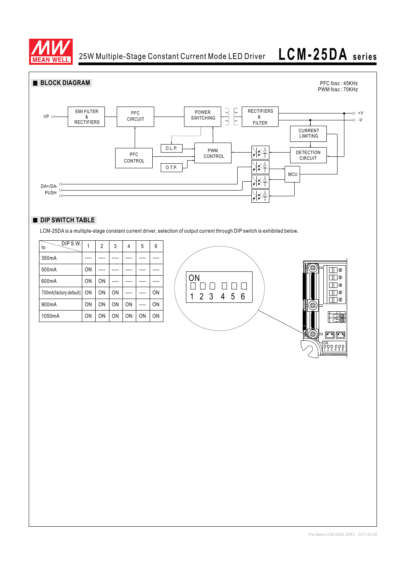

25W Multiple-Stage Constant Current Mode LED Driver

# **LCM-25DA series**



### **DIP SWITCH TABLE**

LCM-25DA is a multiple-stage constant current driver, selection of output current through DIP switch is exhibited below.

| DIP S.W.<br>lo         | 1         | 2              | 3  | 4  | 5         | 6              |    |
|------------------------|-----------|----------------|----|----|-----------|----------------|----|
| 350mA                  |           |                |    |    |           |                |    |
| 500mA                  | ON        |                |    |    |           |                |    |
| 600mA                  | ON        | 0 <sub>N</sub> |    |    |           |                | ЭN |
| 700mA(factory default) | <b>ON</b> | 0N             | ON |    |           | 0 <sub>N</sub> |    |
| 900mA                  | ON        | 0 <sub>N</sub> | ΟN | ON |           | ON             |    |
| 1050mA                 | ON        | 0 <sub>N</sub> | ΟN | ΟN | <b>ON</b> | 0 <sub>N</sub> |    |



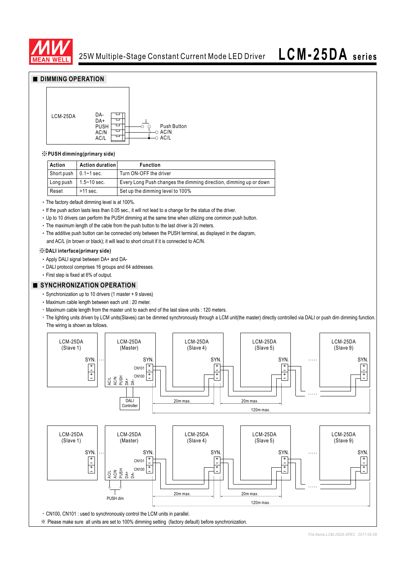

**LCM-25DA series**

## **DIMMING OPERATION**



#### ※**PUSH dimming(primary side)**

| Action                        | <b>Action duration</b> | <b>Function</b>                                                   |
|-------------------------------|------------------------|-------------------------------------------------------------------|
| Short push $\vert$ 0.1~1 sec. |                        | Turn ON-OFF the driver                                            |
| Long push                     | $1.5~10~\mathrm{sec}$  | Every Long Push changes the dimming direction, dimming up or down |
| Reset                         | >11 sec.               | Set up the dimming level to 100%                                  |

The factory default dimming level is at 100%.

• If the push action lasts less than 0.05 sec., it will not lead to a change for the status of the driver.

- Up to 10 drivers can perform the PUSH dimming at the same time when utilizing one common push button.
- The maximum length of the cable from the push button to the last driver is 20 meters.
- The additive push button can be connected only between the PUSH terminal, as displayed in the diagram, and AC/L (in brown or black); it will lead to short circuit if it is connected to AC/N.

#### ※**DALI interface(primary side)**

- Apply DALI signal between DA+ and DA-
- DALI protocol comprises 16 groups and 64 addresses.
- First step is fixed at 6% of output.

#### **SYNCHRONIZATION OPERATION**

- Synchronization up to 10 drivers (1 master + 9 slaves)
- Maximum cable length between each unit : 20 meter.
- Maximum cable length from the master unit to each end of the last slave units : 120 meters.
- · The lighting units driven by LCM units(Slaves) can be dimmed synchronously through a LCM unit(the master) directly controlled via DALI or push dim dimming function. The wiring is shown as follows.

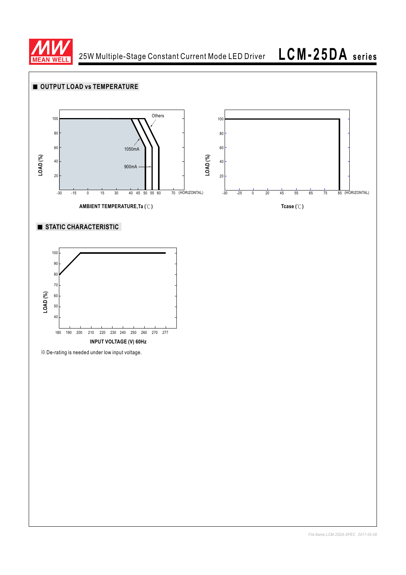

25W Multiple-Stage Constant Current Mode LED Driver

**LCM-25DA series**

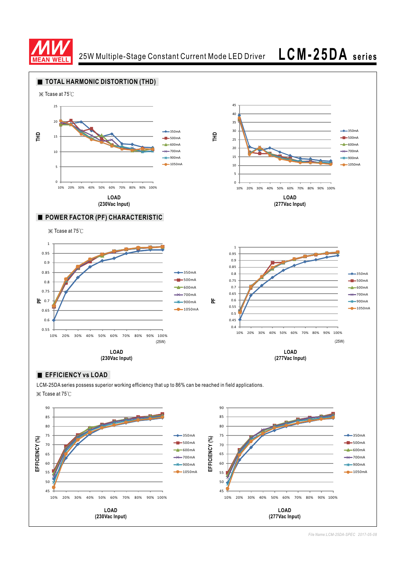

25W Multiple-Stage Constant Current Mode LED Driver **LCM-25DA series**





*File Name:LCM-25DA-SPEC 2017-05-08*